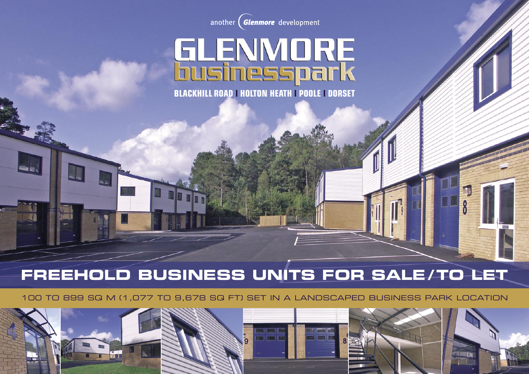another *(Glenmore* development

# **GLENMORE**<br>businesspark

**BLACKHILL ROAD | HOLTON HEATH | POOLE | DORSET** 

# **FREEHOLD BUSINESS UNITS FOR SALE / TO LET**

100 TO 899 SQ M (1,077 TO 9,678 SQ FT) SET IN A LANDSCAPED BUSINESS PARK LOCATION